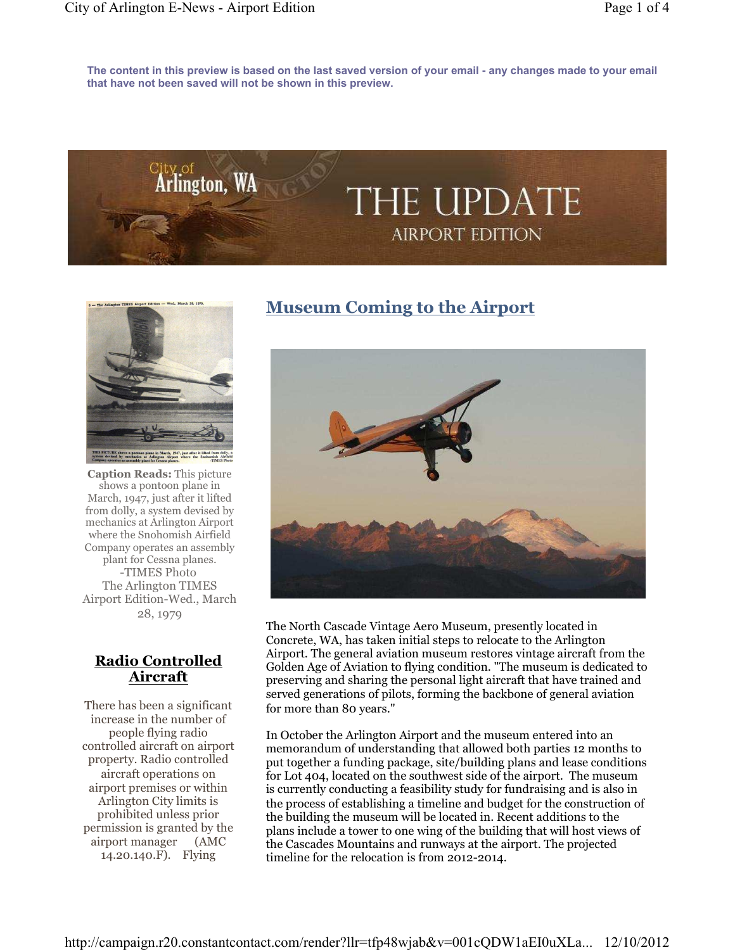**The content in this preview is based on the last saved version of your email - any changes made to your email that have not been saved will not be shown in this preview.**





**Caption Reads:** This picture shows a pontoon plane in March, 1947, just after it lifted from dolly, a system devised by mechanics at Arlington Airport where the Snohomish Airfield Company operates an assembly plant for Cessna planes. -TIMES Photo The Arlington TIMES Airport Edition-Wed., March 28, 1979

## **Radio Controlled Aircraft**

There has been a significant increase in the number of people flying radio controlled aircraft on airport property. Radio controlled aircraft operations on airport premises or within Arlington City limits is prohibited unless prior permission is granted by the airport manager (AMC 14.20.140.F). Flying

# **Museum Coming to the Airport**



The North Cascade Vintage Aero Museum, presently located in Concrete, WA, has taken initial steps to relocate to the Arlington Airport. The general aviation museum restores vintage aircraft from the Golden Age of Aviation to flying condition. "The museum is dedicated to preserving and sharing the personal light aircraft that have trained and served generations of pilots, forming the backbone of general aviation for more than 80 years."

In October the Arlington Airport and the museum entered into an memorandum of understanding that allowed both parties 12 months to put together a funding package, site/building plans and lease conditions for Lot 404, located on the southwest side of the airport. The museum is currently conducting a feasibility study for fundraising and is also in the process of establishing a timeline and budget for the construction of the building the museum will be located in. Recent additions to the plans include a tower to one wing of the building that will host views of the Cascades Mountains and runways at the airport. The projected timeline for the relocation is from 2012-2014.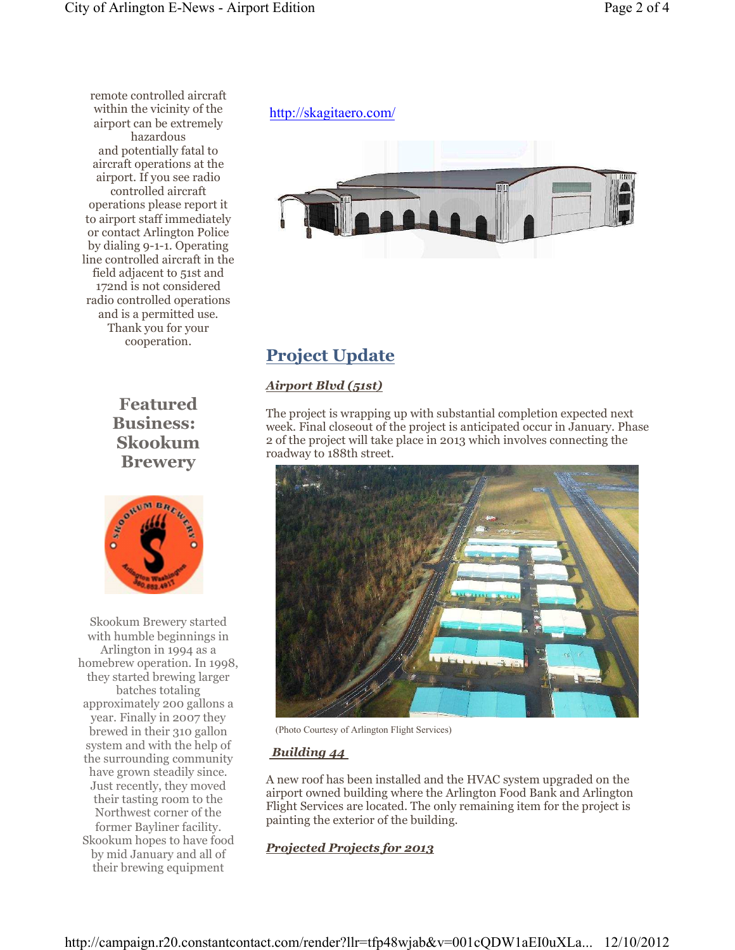remote controlled aircraft within the vicinity of the airport can be extremely hazardous and potentially fatal to aircraft operations at the airport. If you see radio controlled aircraft operations please report it to airport staff immediately or contact Arlington Police by dialing 9-1-1. Operating line controlled aircraft in the field adjacent to 51st and 172nd is not considered radio controlled operations and is a permitted use. Thank you for your cooperation.

> **Featured Business: Skookum Brewery**



Skookum Brewery started with humble beginnings in Arlington in 1994 as a homebrew operation. In 1998, they started brewing larger batches totaling approximately 200 gallons a year. Finally in 2007 they brewed in their 310 gallon system and with the help of the surrounding community have grown steadily since. Just recently, they moved their tasting room to the Northwest corner of the former Bayliner facility. Skookum hopes to have food by mid January and all of their brewing equipment

## http://skagitaero.com/



# **Project Update**

## *Airport Blvd (51st)*

The project is wrapping up with substantial completion expected next week. Final closeout of the project is anticipated occur in January. Phase 2 of the project will take place in 2013 which involves connecting the roadway to 188th street.



(Photo Courtesy of Arlington Flight Services)

### *Building 44*

A new roof has been installed and the HVAC system upgraded on the airport owned building where the Arlington Food Bank and Arlington Flight Services are located. The only remaining item for the project is painting the exterior of the building.

## *Projected Projects for 2013*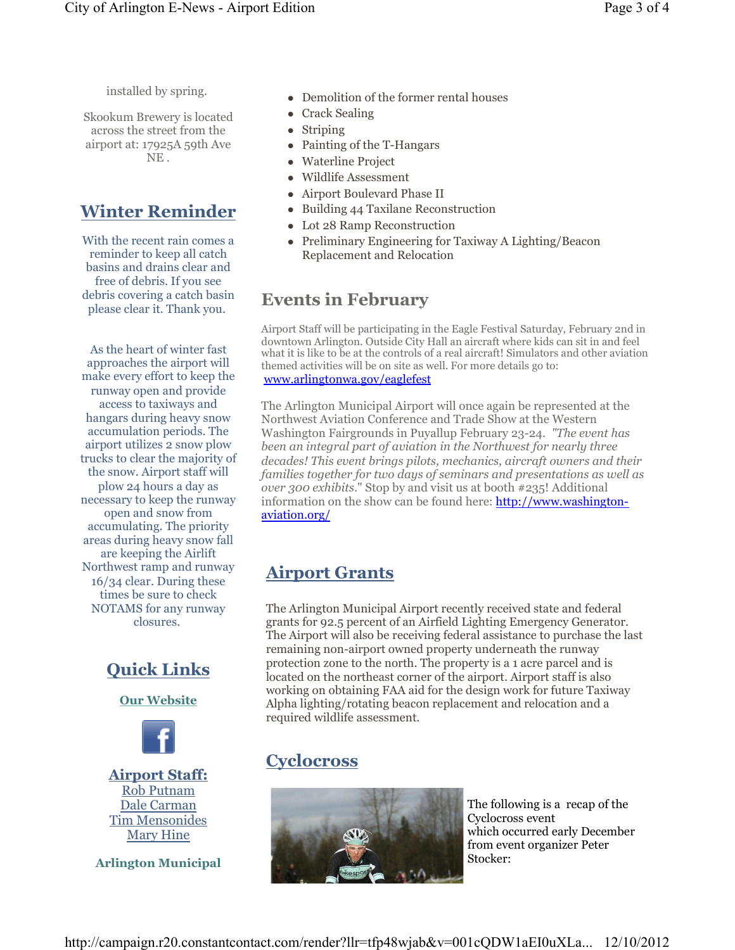Skookum Brewery is located across the street from the airport at: 17925A 59th Ave NE .

## **Winter Reminder**

With the recent rain comes a reminder to keep all catch basins and drains clear and free of debris. If you see debris covering a catch basin please clear it. Thank you.

As the heart of winter fast approaches the airport will make every effort to keep the runway open and provide access to taxiways and hangars during heavy snow accumulation periods. The airport utilizes 2 snow plow trucks to clear the majority of the snow. Airport staff will plow 24 hours a day as necessary to keep the runway open and snow from accumulating. The priority areas during heavy snow fall are keeping the Airlift Northwest ramp and runway 16/34 clear. During these times be sure to check NOTAMS for any runway closures.



**Our Website**



**Airport Staff:** Rob Putnam Dale Carman Tim Mensonides Mary Hine

**Arlington Municipal** 

- Demolition of the former rental houses
- Crack Sealing
- Striping
- Painting of the T-Hangars
- Waterline Project
- Wildlife Assessment
- Airport Boulevard Phase II
- Building 44 Taxilane Reconstruction
- Lot 28 Ramp Reconstruction
- Preliminary Engineering for Taxiway A Lighting/Beacon Replacement and Relocation

## **Events in February**

Airport Staff will be participating in the Eagle Festival Saturday, February 2nd in downtown Arlington. Outside City Hall an aircraft where kids can sit in and feel what it is like to be at the controls of a real aircraft! Simulators and other aviation themed activities will be on site as well. For more details go to: www.arlingtonwa.gov/eaglefest

The Arlington Municipal Airport will once again be represented at the Northwest Aviation Conference and Trade Show at the Western Washington Fairgrounds in Puyallup February 23-24. *"The event has been an integral part of aviation in the Northwest for nearly three decades! This event brings pilots, mechanics, aircraft owners and their families together for two days of seminars and presentations as well as over 300 exhibits*." Stop by and visit us at booth #235! Additional information on the show can be found here: http://www.washingtonaviation.org/

# **Airport Grants**

The Arlington Municipal Airport recently received state and federal grants for 92.5 percent of an Airfield Lighting Emergency Generator. The Airport will also be receiving federal assistance to purchase the last remaining non-airport owned property underneath the runway protection zone to the north. The property is a 1 acre parcel and is located on the northeast corner of the airport. Airport staff is also working on obtaining FAA aid for the design work for future Taxiway Alpha lighting/rotating beacon replacement and relocation and a required wildlife assessment.

# **Cyclocross**



The following is a recap of the Cyclocross event which occurred early December from event organizer Peter Stocker: